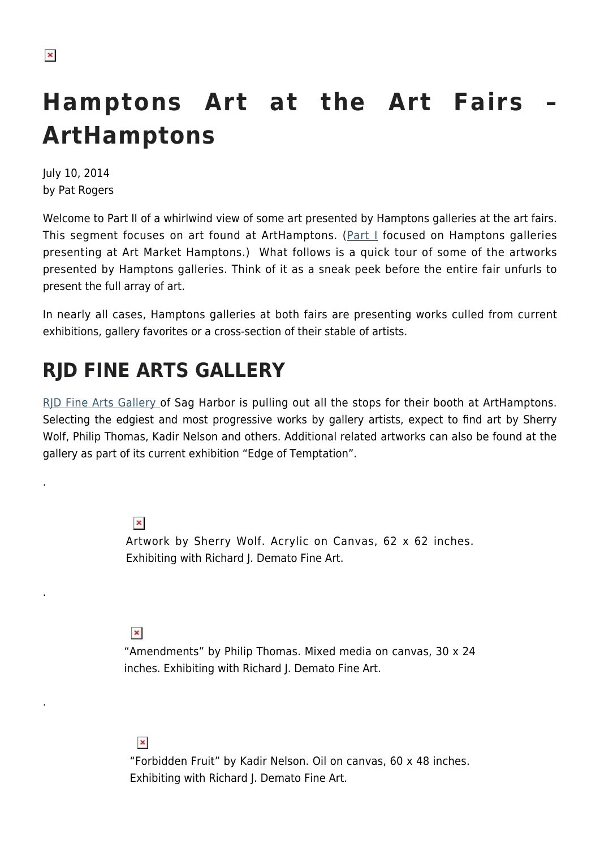.

.

.

# **Hamptons Art at the Art Fairs – ArtHamptons**

July 10, 2014 by Pat Rogers

Welcome to Part II of a whirlwind view of some art presented by Hamptons galleries at the art fairs. This segment focuses on art found at ArtHamptons. (Part  $\perp$  focused on Hamptons galleries presenting at Art Market Hamptons.) What follows is a quick tour of some of the artworks presented by Hamptons galleries. Think of it as a sneak peek before the entire fair unfurls to present the full array of art.

In nearly all cases, Hamptons galleries at both fairs are presenting works culled from current exhibitions, gallery favorites or a cross-section of their stable of artists.

## **RJD FINE ARTS GALLERY**

[RJD Fine Arts Gallery](http://rjdgallery.com/) of Sag Harbor is pulling out all the stops for their booth at ArtHamptons. Selecting the edgiest and most progressive works by gallery artists, expect to find art by Sherry Wolf, Philip Thomas, Kadir Nelson and others. Additional related artworks can also be found at the gallery as part of its current exhibition "Edge of Temptation".

> $\pmb{\times}$ Artwork by Sherry Wolf. Acrylic on Canvas, 62 x 62 inches. Exhibiting with Richard J. Demato Fine Art.

 $\pmb{\times}$ 

"Amendments" by Philip Thomas. Mixed media on canvas, 30 x 24 inches. Exhibiting with Richard J. Demato Fine Art.

 $\pmb{\times}$ 

"Forbidden Fruit" by Kadir Nelson. Oil on canvas, 60 x 48 inches. Exhibiting with Richard J. Demato Fine Art.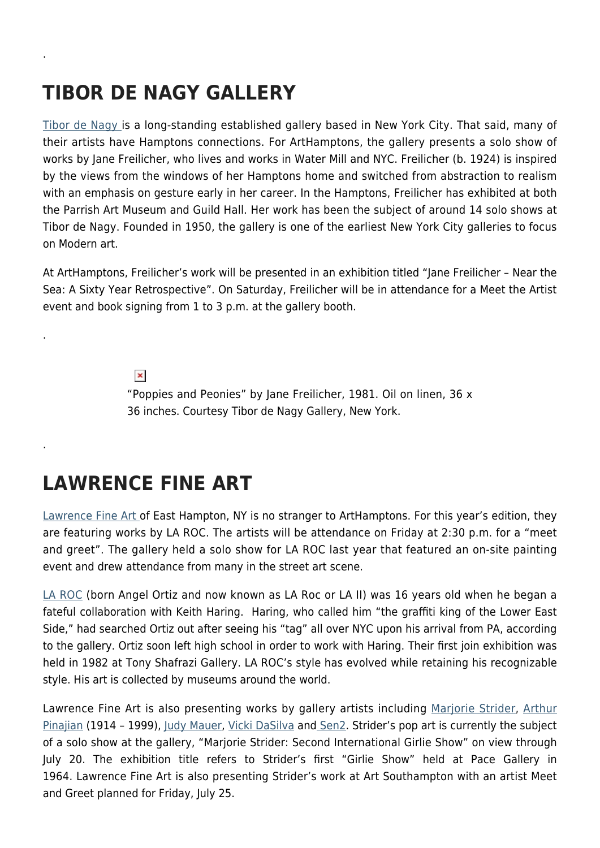# **TIBOR DE NAGY GALLERY**

.

.

.

[Tibor de Nagy i](http://www.tibordenagy.com/)s a long-standing established gallery based in New York City. That said, many of their artists have Hamptons connections. For ArtHamptons, the gallery presents a solo show of works by Jane Freilicher, who lives and works in Water Mill and NYC. Freilicher (b. 1924) is inspired by the views from the windows of her Hamptons home and switched from abstraction to realism with an emphasis on gesture early in her career. In the Hamptons, Freilicher has exhibited at both the Parrish Art Museum and Guild Hall. Her work has been the subject of around 14 solo shows at Tibor de Nagy. Founded in 1950, the gallery is one of the earliest New York City galleries to focus on Modern art.

At ArtHamptons, Freilicher's work will be presented in an exhibition titled "Jane Freilicher – Near the Sea: A Sixty Year Retrospective". On Saturday, Freilicher will be in attendance for a Meet the Artist event and book signing from 1 to 3 p.m. at the gallery booth.

 $\pmb{\times}$ 

"Poppies and Peonies" by Jane Freilicher, 1981. Oil on linen, 36 x 36 inches. Courtesy Tibor de Nagy Gallery, New York.

#### **LAWRENCE FINE ART**

[Lawrence Fine Art o](http://www.lawrence-fine-arts.com/default.aspx)f East Hampton, NY is no stranger to ArtHamptons. For this year's edition, they are featuring works by LA ROC. The artists will be attendance on Friday at 2:30 p.m. for a "meet and greet". The gallery held a solo show for LA ROC last year that featured an on-site painting event and drew attendance from many in the street art scene.

[LA ROC](http://www.lawrence-fine-arts.com/167/artist/angel-ortiz-(la-roc,-laii).aspx) (born Angel Ortiz and now known as LA Roc or LA II) was 16 years old when he began a fateful collaboration with Keith Haring. Haring, who called him "the graffiti king of the Lower East Side," had searched Ortiz out after seeing his "tag" all over NYC upon his arrival from PA, according to the gallery. Ortiz soon left high school in order to work with Haring. Their first join exhibition was held in 1982 at Tony Shafrazi Gallery. LA ROC's style has evolved while retaining his recognizable style. His art is collected by museums around the world.

Lawrence Fine Art is also presenting works by gallery artists including [Marjorie Strider,](http://www.hollistaggart.com/artists/slideshow/marjorie-strider/0/thumbs) [Arthur](http://www.pinajianart.com/) [Pinajian](http://www.pinajianart.com/) (1914 - 1999), [Judy Mauer](http://www.lawrence-fine-arts.com/184/artist/judy-mauer.aspx), [Vicki DaSilva](http://www.vickidasilva.com/) an[d Sen2](http://www.fatcap.com/artist/sen2.html). Strider's pop art is currently the subject of a solo show at the gallery, "Marjorie Strider: Second International Girlie Show" on view through July 20. The exhibition title refers to Strider's first "Girlie Show" held at Pace Gallery in 1964. Lawrence Fine Art is also presenting Strider's work at Art Southampton with an artist Meet and Greet planned for Friday, July 25.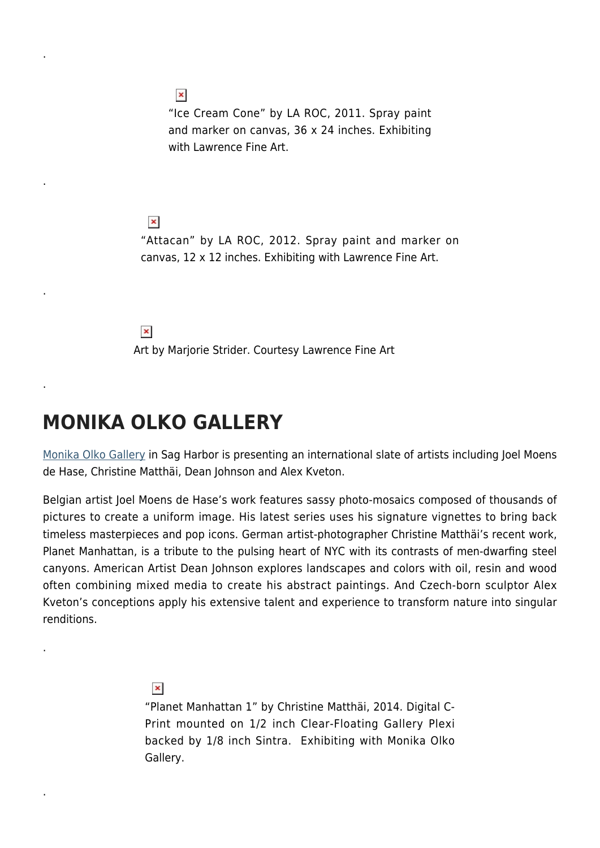"Ice Cream Cone" by LA ROC, 2011. Spray paint and marker on canvas, 36 x 24 inches. Exhibiting with Lawrence Fine Art.

 $\pmb{\times}$ "Attacan" by LA ROC, 2012. Spray paint and marker on canvas, 12 x 12 inches. Exhibiting with Lawrence Fine Art.

 $\pmb{\times}$ 

 $\pmb{\times}$ 

.

.

.

.

.

.

Art by Marjorie Strider. Courtesy Lawrence Fine Art

#### **MONIKA OLKO GALLERY**

[Monika Olko Gallery](http://www.monikaolkogallery.com/) in Sag Harbor is presenting an international slate of artists including Joel Moens de Hase, Christine Matthäi, Dean Johnson and Alex Kveton.

Belgian artist Joel Moens de Hase's work features sassy photo-mosaics composed of thousands of pictures to create a uniform image. His latest series uses his signature vignettes to bring back timeless masterpieces and pop icons. German artist-photographer Christine Matthäi's recent work, Planet Manhattan, is a tribute to the pulsing heart of NYC with its contrasts of men-dwarfing steel canyons. American Artist Dean Johnson explores landscapes and colors with oil, resin and wood often combining mixed media to create his abstract paintings. And Czech-born sculptor Alex Kveton's conceptions apply his extensive talent and experience to transform nature into singular renditions.

 $\pmb{\times}$ 

"Planet Manhattan 1" by Christine Matthäi, 2014. Digital C-Print mounted on 1/2 inch Clear-Floating Gallery Plexi backed by 1/8 inch Sintra. Exhibiting with Monika Olko Gallery.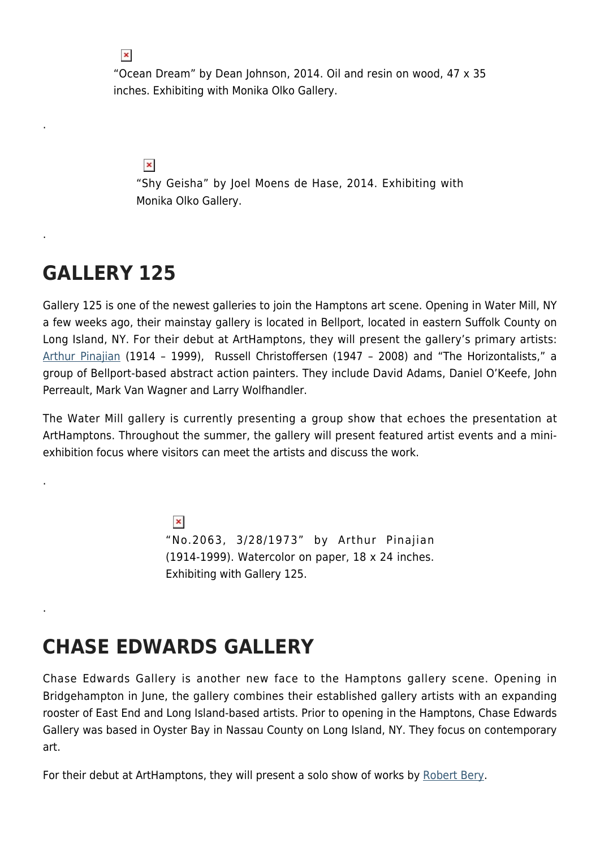"Ocean Dream" by Dean Johnson, 2014. Oil and resin on wood, 47 x 35 inches. Exhibiting with Monika Olko Gallery.

 $\pmb{\times}$ 

"Shy Geisha" by Joel Moens de Hase, 2014. Exhibiting with Monika Olko Gallery.

#### **GALLERY 125**

.

.

.

.

Gallery 125 is one of the newest galleries to join the Hamptons art scene. Opening in Water Mill, NY a few weeks ago, their mainstay gallery is located in Bellport, located in eastern Suffolk County on Long Island, NY. For their debut at ArtHamptons, they will present the gallery's primary artists: [Arthur Pinajian](http://www.pinajianart.com/) (1914 – 1999), Russell Christoffersen (1947 – 2008) and "The Horizontalists," a group of Bellport-based abstract action painters. They include David Adams, Daniel O'Keefe, John Perreault, Mark Van Wagner and Larry Wolfhandler.

The Water Mill gallery is currently presenting a group show that echoes the presentation at ArtHamptons. Throughout the summer, the gallery will present featured artist events and a miniexhibition focus where visitors can meet the artists and discuss the work.

> $\pmb{\times}$ "No.2063, 3/28/1973" by Arthur Pinajian (1914-1999). Watercolor on paper, 18 x 24 inches. Exhibiting with Gallery 125.

## **CHASE EDWARDS GALLERY**

Chase Edwards Gallery is another new face to the Hamptons gallery scene. Opening in Bridgehampton in June, the gallery combines their established gallery artists with an expanding rooster of East End and Long Island-based artists. Prior to opening in the Hamptons, Chase Edwards Gallery was based in Oyster Bay in Nassau County on Long Island, NY. They focus on contemporary art.

For their debut at ArtHamptons, they will present a solo show of works by [Robert Bery](http://momaps1.org/studio-visit/artist/robert-bery).

 $\pmb{\times}$